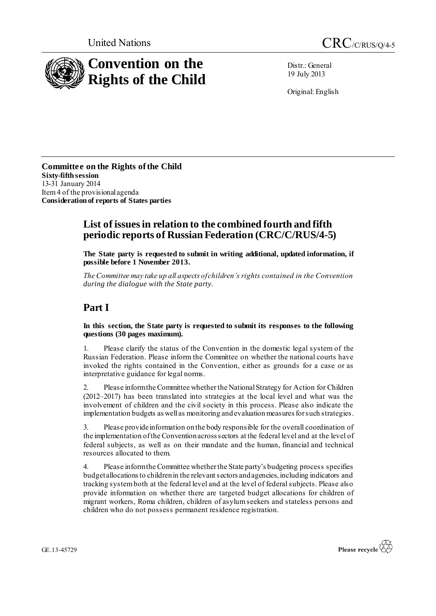



Distr.: General 19 July 2013

Original: English

**Committee on the Rights of the Child Sixty-fifthsession** 13-31 January 2014 Item 4 of the provisional agenda **Consideration of reports of States parties**

#### **List of issues in relation to the combined fourth and fifth periodic reports of Russian Federation (CRC/C/RUS/4-5)**

**The State party is requested to submit in writing additional, updated information, if possible before 1 November 2013.**

*The Committee may take up all aspects of children's rights contained in the Convention during the dialogue with the State party.* 

# **Part I**

**In this section, the State party is requested to submit its responses to the following questions (30 pages maximum).**

1. Please clarify the status of the Convention in the domestic legal system of the Russian Federation. Please inform the Committee on whether the national courts have invoked the rights contained in the Convention, either as grounds for a case or as interpretative guidance for legal norms.

Please inform the Committee whether the National Strategy for Action for Children (2012–2017) has been translated into strategies at the local level and what was the involvement of children and the civil society in this process. Please also indicate the implementation budgets as well as monitoring and evaluation measures for such strategies.

3. Please provide information on the body responsible for the overall coordination of the implementation of the Convention across sectors at the federal level and at the level of federal subjects, as well as on their mandate and the human, financial and technical resources allocated to them.

4. Please inform the Committee whether the State party's budgeting process specifies budget allocations to children in the relevant sectors and agencies, including indicators and tracking system both at the federal level and at the level of federal subjects. Please also provide information on whether there are targeted budget allocations for children of migrant workers, Roma children, children of asylum seekers and stateless persons and children who do not possess permanent residence registration.



GE.13-45729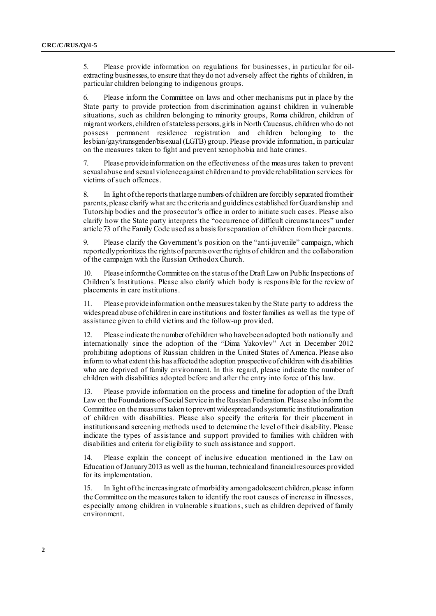5. Please provide information on regulations for businesses, in particular for oilextracting businesses, to ensure that they do not adversely affect the rights of children, in particular children belonging to indigenous groups.

6. Please inform the Committee on laws and other mechanisms put in place by the State party to provide protection from discrimination against children in vulnerable situations, such as children belonging to minority groups, Roma children, children of migrant workers, children of stateless persons, girls in North Caucasus, children who do not possess permanent residence registration and children belonging to the lesbian/gay/transgender/bisexual (LGTB) group. Please provide information, in particular on the measures taken to fight and prevent xenophobia and hate crimes.

7. Please provide information on the effectiveness of the measures taken to prevent sexual abuse and sexual violence against children and to provide rehabilitation services for victims of such offences.

8. In light of the reports that large numbers of children are forcibly separated from their parents, please clarify what are the criteria and guidelines established for Guardianship and Tutorship bodies and the prosecutor's office in order to initiate such cases. Please also clarify how the State party interprets the "occurrence of difficult circumstances" under article 73 of the Family Code used as a basis for separation of children from their parents.

9. Please clarify the Government's position on the "anti-juvenile" campaign, which reportedly prioritizes the rights of parents over the rights of children and the collaboration of the campaign with the Russian Orthodox Church.

10. Please inform the Committee on the status of the Draft Law on Public Inspections of Children's Institutions. Please also clarify which body is responsible for the review of placements in care institutions.

11. Please provide information on the measures taken by the State party to address the widespread abuse of children in care institutions and foster families as well as the type of assistance given to child victims and the follow-up provided.

12. Please indicate the number of children who have been adopted both nationally and internationally since the adoption of the "Dima Yakovlev" Act in December 2012 prohibiting adoptions of Russian children in the United States of America. Please also inform to what extent this has affected the adoption prospective of children with disabilities who are deprived of family environment. In this regard, please indicate the number of children with disabilities adopted before and after the entry into force of this law.

13. Please provide information on the process and timeline for adoption of the Draft Law on the Foundations of Social Service in the Russian Federation. Please also inform the Committee on the measures taken to prevent widespread and systematic institutionalization of children with disabilities. Please also specify the criteria for their placement in institutions and screening methods used to determine the level of their disability. Please indicate the types of assistance and support provided to families with children with disabilities and criteria for eligibility to such assistance and support.

14. Please explain the concept of inclusive education mentioned in the Law on Education of January 2013 as well as the human, technical and financial resources provided for its implementation.

15. In light of the increasing rate of morbidity among adolescent children, please inform the Committee on the measures taken to identify the root causes of increase in illnesses, especially among children in vulnerable situations, such as children deprived of family environment.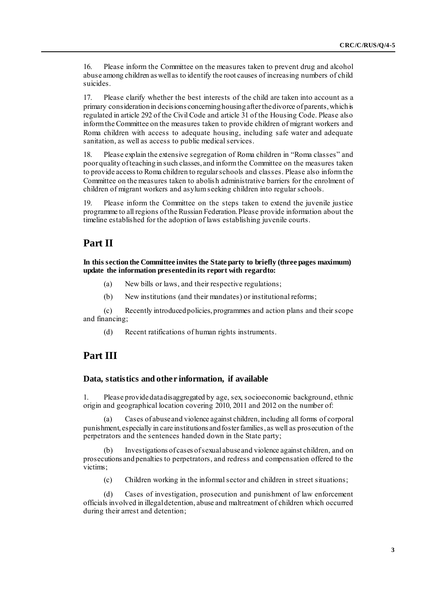16. Please inform the Committee on the measures taken to prevent drug and alcohol abuse among children as well as to identify the root causes of increasing numbers of child suicides.

17. Please clarify whether the best interests of the child are taken into account as a primary consideration in decisions concerning housing after the divorce of parents,which is regulated in article 292 of the Civil Code and article 31 of the Housing Code. Please also inform the Committee on the measures taken to provide children of migrant workers and Roma children with access to adequate housing, including safe water and adequate sanitation, as well as access to public medical services.

18. Please explain the extensive segregation of Roma children in "Roma classes" and poor quality of teaching in such classes, and inform the Committee on the measures taken to provide access to Roma children to regular schools and classes. Please also inform the Committee on the measures taken to abolish administrative barriers for the enrolment of children of migrant workers and asylum seeking children into regular schools.

19. Please inform the Committee on the steps taken to extend the juvenile justice programme to all regions of the Russian Federation. Please provide information about the timeline established for the adoption of laws establishing juvenile courts.

### **Part II**

**In this section the Committee invites the State party to briefly (three pages maximum) update the information presented in its report with regard to:**

- (a) New bills or laws, and their respective regulations;
- (b) New institutions (and their mandates) or institutional reforms;

(c) Recently introduced policies, programmes and action plans and their scope and financing;

(d) Recent ratifications of human rights instruments.

## **Part III**

#### **Data, statistics and other information, if available**

1. Please providedata disaggregated by age, sex, socioeconomic background, ethnic origin and geographical location covering 2010, 2011 and 2012 on the number of:

(a) Cases of abuse and violence against children, including all forms of corporal punishment, especially in care institutions and foster families, as well as prosecution of the perpetrators and the sentences handed down in the State party;

(b) Investigations of cases of sexual abuse and violence against children, and on prosecutions and penalties to perpetrators, and redress and compensation offered to the victims;

(c) Children working in the informal sector and children in street situations;

(d) Cases of investigation, prosecution and punishment of law enforcement officials involved in illegal detention, abuse and maltreatment of children which occurred during their arrest and detention;